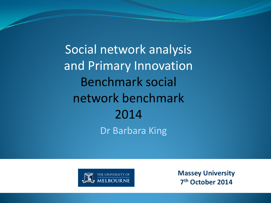Dr Barbara King Social network analysis and Primary Innovation Benchmark social network benchmark 2014



**Massey University 7th October 2014**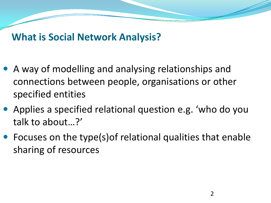#### **What is Social Network Analysis?**

- A way of modelling and analysing relationships and connections between people, organisations or other specified entities
- Applies a specified relational question e.g. 'who do you talk to about…?'
- Focuses on the type(s)of relational qualities that enable sharing of resources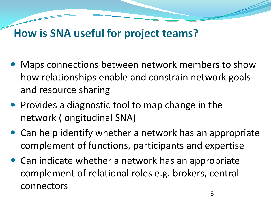### **How is SNA useful for project teams?**

- Maps connections between network members to show how relationships enable and constrain network goals and resource sharing
- Provides a diagnostic tool to map change in the network (longitudinal SNA)
- Can help identify whether a network has an appropriate complement of functions, participants and expertise
- Can indicate whether a network has an appropriate complement of relational roles e.g. brokers, central connectors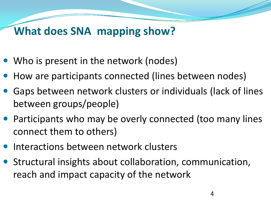## **What does SNA mapping show?**

- Who is present in the network (nodes)
- How are participants connected (lines between nodes)
- Gaps between network clusters or individuals (lack of lines between groups/people)
- Participants who may be overly connected (too many lines connect them to others)
- Interactions between network clusters
- Structural insights about collaboration, communication, reach and impact capacity of the network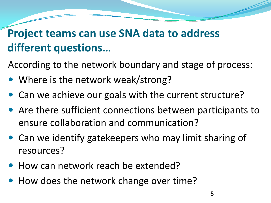## **Project teams can use SNA data to address different questions…**

According to the network boundary and stage of process:

- Where is the network weak/strong?
- Can we achieve our goals with the current structure?
- Are there sufficient connections between participants to ensure collaboration and communication?
- Can we identify gatekeepers who may limit sharing of resources?
- How can network reach be extended?
- How does the network change over time?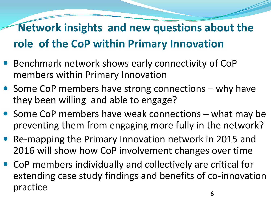# **Network insights and new questions about the role of the CoP within Primary Innovation**

- Benchmark network shows early connectivity of CoP members within Primary Innovation
- Some CoP members have strong connections why have they been willing and able to engage?
- Some CoP members have weak connections what may be preventing them from engaging more fully in the network?
- Re-mapping the Primary Innovation network in 2015 and 2016 will show how CoP involvement changes over time
- CoP members individually and collectively are critical for extending case study findings and benefits of co-innovation practice 6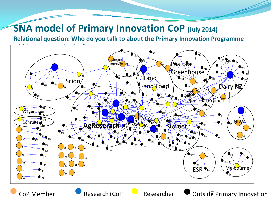#### **SNA model of Primary Innovation CoP (July 2014)**

**Relational question: Who do you talk to about the Primary Innovation Programme** 

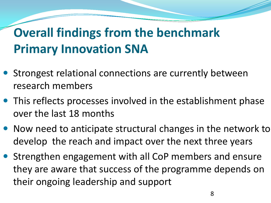# **Overall findings from the benchmark Primary Innovation SNA**

- Strongest relational connections are currently between research members
- This reflects processes involved in the establishment phase over the last 18 months
- Now need to anticipate structural changes in the network to develop the reach and impact over the next three years
- Strengthen engagement with all CoP members and ensure they are aware that success of the programme depends on their ongoing leadership and support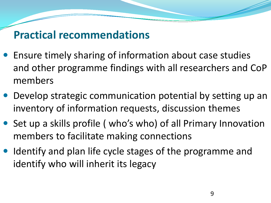## **Practical recommendations**

- Ensure timely sharing of information about case studies and other programme findings with all researchers and CoP members
- Develop strategic communication potential by setting up an inventory of information requests, discussion themes
- Set up a skills profile ( who's who) of all Primary Innovation members to facilitate making connections
- Identify and plan life cycle stages of the programme and identify who will inherit its legacy